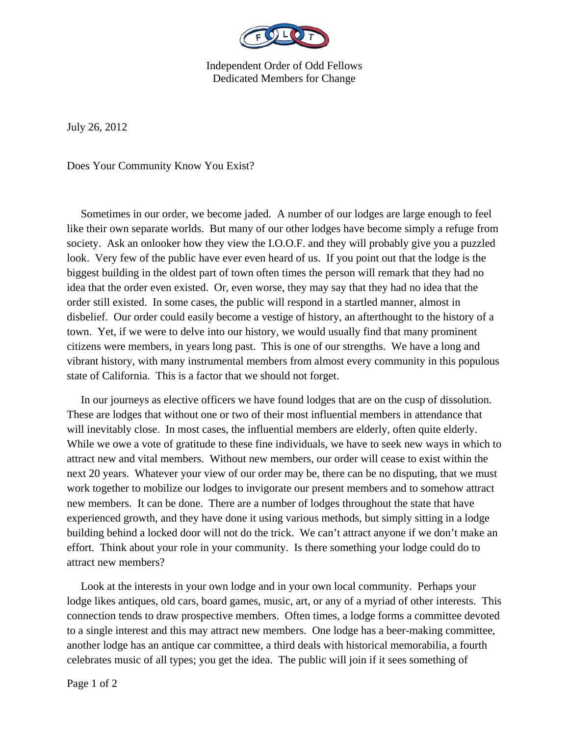

Independent Order of Odd Fellows Dedicated Members for Change

July 26, 2012

Does Your Community Know You Exist?

 Sometimes in our order, we become jaded. A number of our lodges are large enough to feel like their own separate worlds. But many of our other lodges have become simply a refuge from society. Ask an onlooker how they view the I.O.O.F. and they will probably give you a puzzled look. Very few of the public have ever even heard of us. If you point out that the lodge is the biggest building in the oldest part of town often times the person will remark that they had no idea that the order even existed. Or, even worse, they may say that they had no idea that the order still existed. In some cases, the public will respond in a startled manner, almost in disbelief. Our order could easily become a vestige of history, an afterthought to the history of a town. Yet, if we were to delve into our history, we would usually find that many prominent citizens were members, in years long past. This is one of our strengths. We have a long and vibrant history, with many instrumental members from almost every community in this populous state of California. This is a factor that we should not forget.

 In our journeys as elective officers we have found lodges that are on the cusp of dissolution. These are lodges that without one or two of their most influential members in attendance that will inevitably close. In most cases, the influential members are elderly, often quite elderly. While we owe a vote of gratitude to these fine individuals, we have to seek new ways in which to attract new and vital members. Without new members, our order will cease to exist within the next 20 years. Whatever your view of our order may be, there can be no disputing, that we must work together to mobilize our lodges to invigorate our present members and to somehow attract new members. It can be done. There are a number of lodges throughout the state that have experienced growth, and they have done it using various methods, but simply sitting in a lodge building behind a locked door will not do the trick. We can't attract anyone if we don't make an effort. Think about your role in your community. Is there something your lodge could do to attract new members?

 Look at the interests in your own lodge and in your own local community. Perhaps your lodge likes antiques, old cars, board games, music, art, or any of a myriad of other interests. This connection tends to draw prospective members. Often times, a lodge forms a committee devoted to a single interest and this may attract new members. One lodge has a beer-making committee, another lodge has an antique car committee, a third deals with historical memorabilia, a fourth celebrates music of all types; you get the idea. The public will join if it sees something of